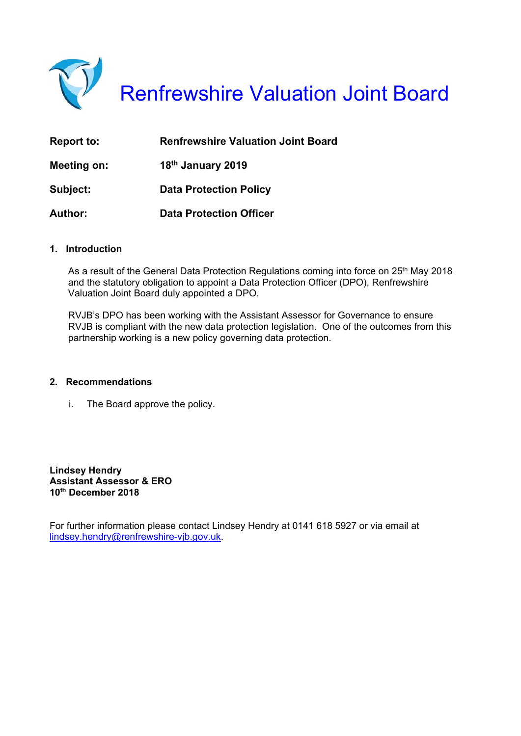

Renfrewshire Valuation Joint Board

| <b>Report to:</b> | <b>Renfrewshire Valuation Joint Board</b> |
|-------------------|-------------------------------------------|
| Meeting on:       | 18th January 2019                         |
| Subject:          | <b>Data Protection Policy</b>             |
| Author:           | <b>Data Protection Officer</b>            |

#### **1. Introduction**

As a result of the General Data Protection Regulations coming into force on 25<sup>th</sup> May 2018 and the statutory obligation to appoint a Data Protection Officer (DPO), Renfrewshire Valuation Joint Board duly appointed a DPO.

RVJB's DPO has been working with the Assistant Assessor for Governance to ensure RVJB is compliant with the new data protection legislation. One of the outcomes from this partnership working is a new policy governing data protection.

#### **2. Recommendations**

i. The Board approve the policy.

**Lindsey Hendry Assistant Assessor & ERO 10th December 2018** 

For further information please contact Lindsey Hendry at 0141 618 5927 or via email at lindsey.hendry@renfrewshire-vjb.gov.uk.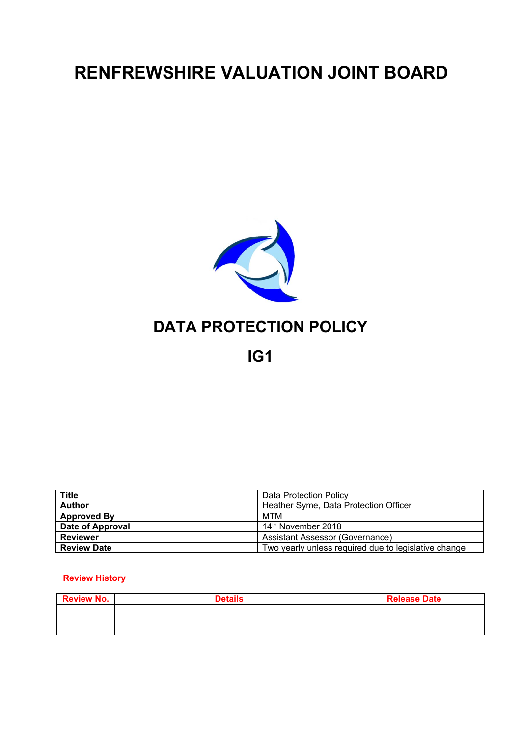# **RENFREWSHIRE VALUATION JOINT BOARD**



# **DATA PROTECTION POLICY**

**IG1** 

| <b>Title</b>       | Data Protection Policy                               |
|--------------------|------------------------------------------------------|
| <b>Author</b>      | Heather Syme, Data Protection Officer                |
| <b>Approved By</b> | мтм                                                  |
| Date of Approval   | 14 <sup>th</sup> November 2018                       |
| <b>Reviewer</b>    | Assistant Assessor (Governance)                      |
| <b>Review Date</b> | Two yearly unless required due to legislative change |

#### **Review History**

| <b>Review No.</b> | <b>Details</b> | <b>Release Date</b> |
|-------------------|----------------|---------------------|
|                   |                |                     |
|                   |                |                     |
|                   |                |                     |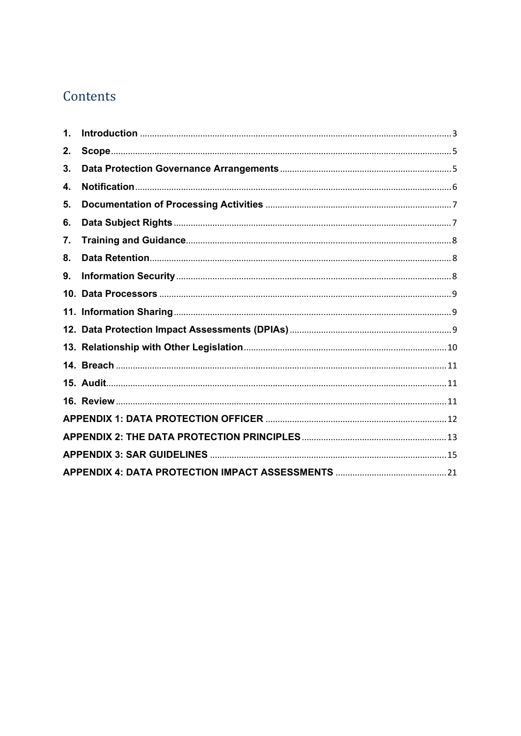# Contents

| 1. |  |
|----|--|
| 2. |  |
| 3. |  |
| 4. |  |
| 5. |  |
| 6. |  |
| 7. |  |
| 8. |  |
| 9. |  |
|    |  |
|    |  |
|    |  |
|    |  |
|    |  |
|    |  |
|    |  |
|    |  |
|    |  |
|    |  |
|    |  |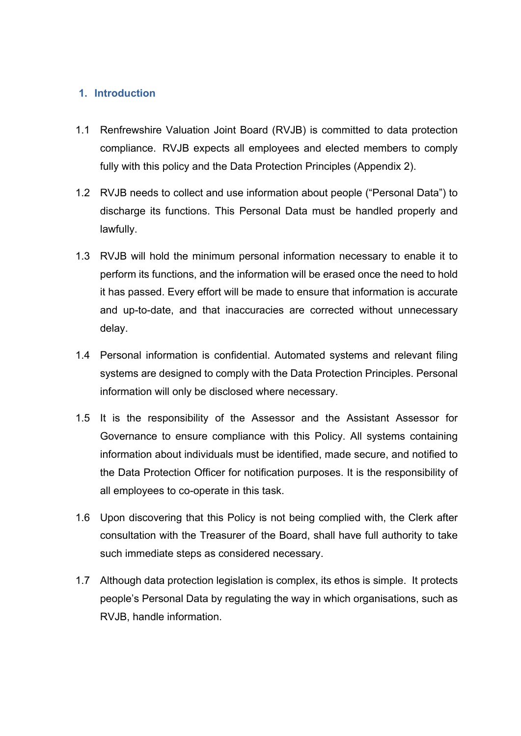## **1. Introduction**

- 1.1 Renfrewshire Valuation Joint Board (RVJB) is committed to data protection compliance. RVJB expects all employees and elected members to comply fully with this policy and the Data Protection Principles (Appendix 2).
- 1.2 RVJB needs to collect and use information about people ("Personal Data") to discharge its functions. This Personal Data must be handled properly and lawfully.
- 1.3 RVJB will hold the minimum personal information necessary to enable it to perform its functions, and the information will be erased once the need to hold it has passed. Every effort will be made to ensure that information is accurate and up-to-date, and that inaccuracies are corrected without unnecessary delay.
- 1.4 Personal information is confidential. Automated systems and relevant filing systems are designed to comply with the Data Protection Principles. Personal information will only be disclosed where necessary.
- 1.5 It is the responsibility of the Assessor and the Assistant Assessor for Governance to ensure compliance with this Policy. All systems containing information about individuals must be identified, made secure, and notified to the Data Protection Officer for notification purposes. It is the responsibility of all employees to co-operate in this task.
- 1.6 Upon discovering that this Policy is not being complied with, the Clerk after consultation with the Treasurer of the Board, shall have full authority to take such immediate steps as considered necessary.
- 1.7 Although data protection legislation is complex, its ethos is simple. It protects people's Personal Data by regulating the way in which organisations, such as RVJB, handle information.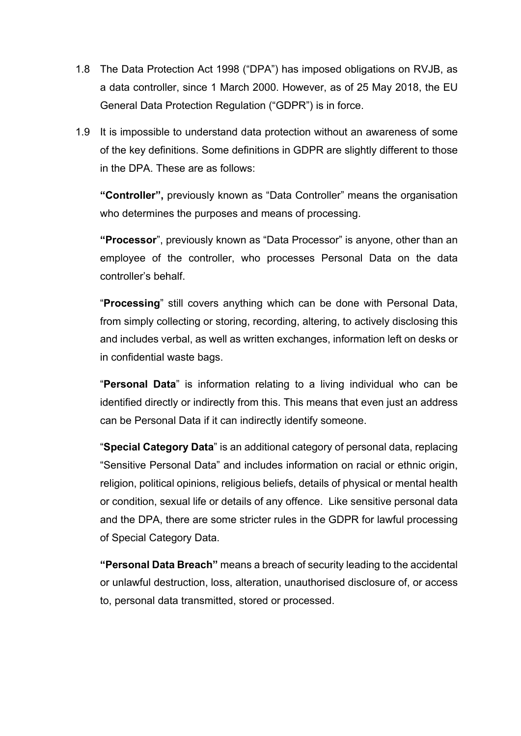- 1.8 The Data Protection Act 1998 ("DPA") has imposed obligations on RVJB, as a data controller, since 1 March 2000. However, as of 25 May 2018, the EU General Data Protection Regulation ("GDPR") is in force.
- 1.9 It is impossible to understand data protection without an awareness of some of the key definitions. Some definitions in GDPR are slightly different to those in the DPA. These are as follows:

**"Controller",** previously known as "Data Controller" means the organisation who determines the purposes and means of processing.

**"Processor**", previously known as "Data Processor" is anyone, other than an employee of the controller, who processes Personal Data on the data controller's behalf.

"**Processing**" still covers anything which can be done with Personal Data, from simply collecting or storing, recording, altering, to actively disclosing this and includes verbal, as well as written exchanges, information left on desks or in confidential waste bags.

"**Personal Data**" is information relating to a living individual who can be identified directly or indirectly from this. This means that even just an address can be Personal Data if it can indirectly identify someone.

"**Special Category Data**" is an additional category of personal data, replacing "Sensitive Personal Data" and includes information on racial or ethnic origin, religion, political opinions, religious beliefs, details of physical or mental health or condition, sexual life or details of any offence. Like sensitive personal data and the DPA, there are some stricter rules in the GDPR for lawful processing of Special Category Data.

**"Personal Data Breach"** means a breach of security leading to the accidental or unlawful destruction, loss, alteration, unauthorised disclosure of, or access to, personal data transmitted, stored or processed.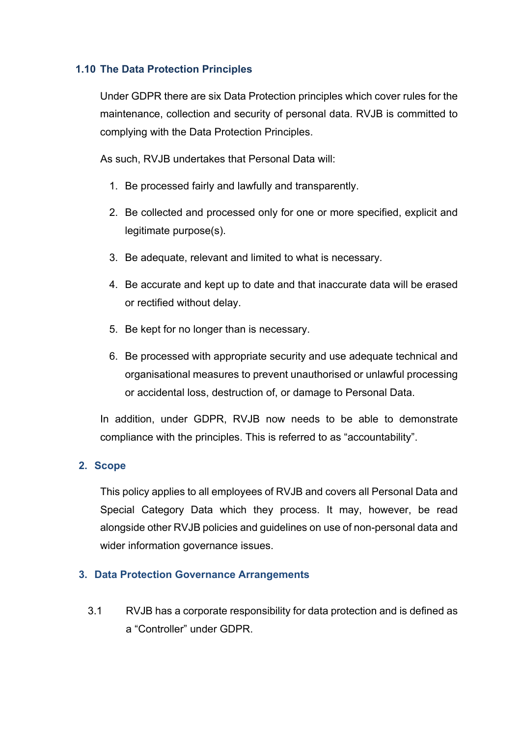## **1.10 The Data Protection Principles**

Under GDPR there are six Data Protection principles which cover rules for the maintenance, collection and security of personal data. RVJB is committed to complying with the Data Protection Principles.

As such, RVJB undertakes that Personal Data will:

- 1. Be processed fairly and lawfully and transparently.
- 2. Be collected and processed only for one or more specified, explicit and legitimate purpose(s).
- 3. Be adequate, relevant and limited to what is necessary.
- 4. Be accurate and kept up to date and that inaccurate data will be erased or rectified without delay.
- 5. Be kept for no longer than is necessary.
- 6. Be processed with appropriate security and use adequate technical and organisational measures to prevent unauthorised or unlawful processing or accidental loss, destruction of, or damage to Personal Data.

In addition, under GDPR, RVJB now needs to be able to demonstrate compliance with the principles. This is referred to as "accountability".

## **2. Scope**

This policy applies to all employees of RVJB and covers all Personal Data and Special Category Data which they process. It may, however, be read alongside other RVJB policies and guidelines on use of non-personal data and wider information governance issues.

## **3. Data Protection Governance Arrangements**

3.1 RVJB has a corporate responsibility for data protection and is defined as a "Controller" under GDPR.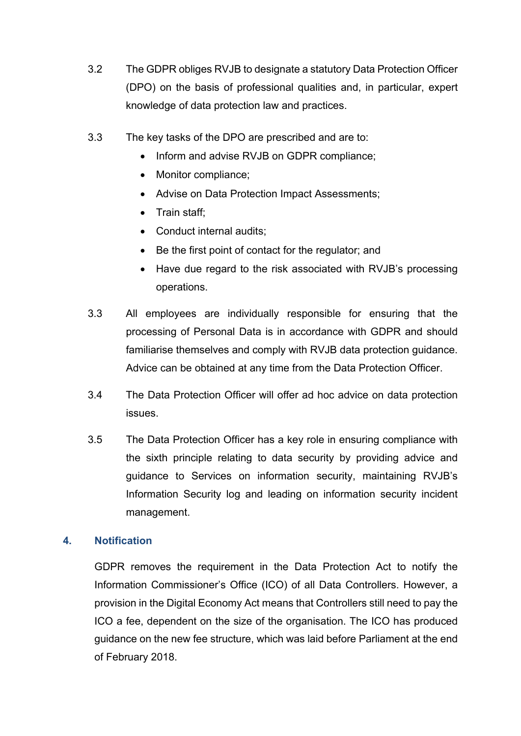- 3.2 The GDPR obliges RVJB to designate a statutory Data Protection Officer (DPO) on the basis of professional qualities and, in particular, expert knowledge of data protection law and practices.
- 3.3 The key tasks of the DPO are prescribed and are to:
	- Inform and advise RVJB on GDPR compliance;
	- Monitor compliance;
	- Advise on Data Protection Impact Assessments;
	- Train staff:
	- Conduct internal audits:
	- Be the first point of contact for the regulator; and
	- Have due regard to the risk associated with RVJB's processing operations.
- 3.3 All employees are individually responsible for ensuring that the processing of Personal Data is in accordance with GDPR and should familiarise themselves and comply with RVJB data protection guidance. Advice can be obtained at any time from the Data Protection Officer.
- 3.4 The Data Protection Officer will offer ad hoc advice on data protection issues.
- 3.5 The Data Protection Officer has a key role in ensuring compliance with the sixth principle relating to data security by providing advice and guidance to Services on information security, maintaining RVJB's Information Security log and leading on information security incident management.

### **4. Notification**

GDPR removes the requirement in the Data Protection Act to notify the Information Commissioner's Office (ICO) of all Data Controllers. However, a provision in the Digital Economy Act means that Controllers still need to pay the ICO a fee, dependent on the size of the organisation. The ICO has produced guidance on the new fee structure, which was laid before Parliament at the end of February 2018.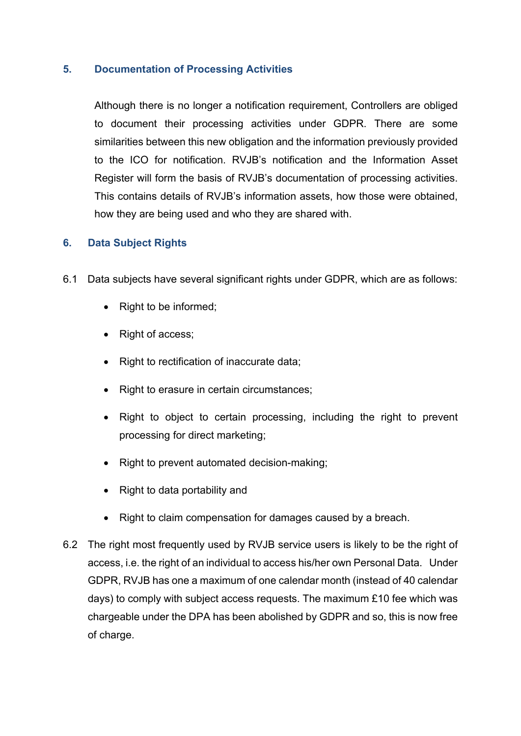## **5. Documentation of Processing Activities**

 Although there is no longer a notification requirement, Controllers are obliged to document their processing activities under GDPR. There are some similarities between this new obligation and the information previously provided to the ICO for notification. RVJB's notification and the Information Asset Register will form the basis of RVJB's documentation of processing activities. This contains details of RVJB's information assets, how those were obtained, how they are being used and who they are shared with.

## **6. Data Subject Rights**

- 6.1 Data subjects have several significant rights under GDPR, which are as follows:
	- Right to be informed;
	- Right of access;
	- Right to rectification of inaccurate data;
	- Right to erasure in certain circumstances;
	- Right to object to certain processing, including the right to prevent processing for direct marketing;
	- Right to prevent automated decision-making;
	- Right to data portability and
	- Right to claim compensation for damages caused by a breach.
- 6.2 The right most frequently used by RVJB service users is likely to be the right of access, i.e. the right of an individual to access his/her own Personal Data. Under GDPR, RVJB has one a maximum of one calendar month (instead of 40 calendar days) to comply with subject access requests. The maximum £10 fee which was chargeable under the DPA has been abolished by GDPR and so, this is now free of charge.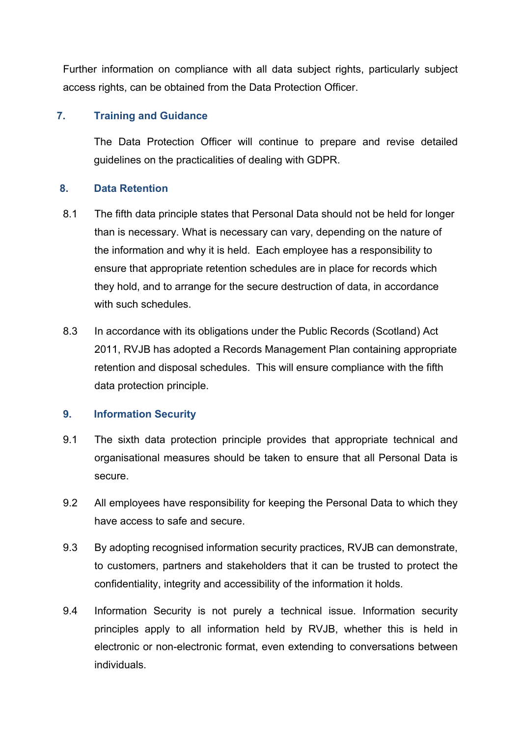Further information on compliance with all data subject rights, particularly subject access rights, can be obtained from the Data Protection Officer.

## **7. Training and Guidance**

 The Data Protection Officer will continue to prepare and revise detailed guidelines on the practicalities of dealing with GDPR.

## **8. Data Retention**

- 8.1 The fifth data principle states that Personal Data should not be held for longer than is necessary. What is necessary can vary, depending on the nature of the information and why it is held. Each employee has a responsibility to ensure that appropriate retention schedules are in place for records which they hold, and to arrange for the secure destruction of data, in accordance with such schedules.
- 8.3 In accordance with its obligations under the Public Records (Scotland) Act 2011, RVJB has adopted a Records Management Plan containing appropriate retention and disposal schedules. This will ensure compliance with the fifth data protection principle.

### **9. Information Security**

- 9.1 The sixth data protection principle provides that appropriate technical and organisational measures should be taken to ensure that all Personal Data is secure.
- 9.2 All employees have responsibility for keeping the Personal Data to which they have access to safe and secure.
- 9.3 By adopting recognised information security practices, RVJB can demonstrate, to customers, partners and stakeholders that it can be trusted to protect the confidentiality, integrity and accessibility of the information it holds.
- 9.4 Information Security is not purely a technical issue. Information security principles apply to all information held by RVJB, whether this is held in electronic or non-electronic format, even extending to conversations between individuals.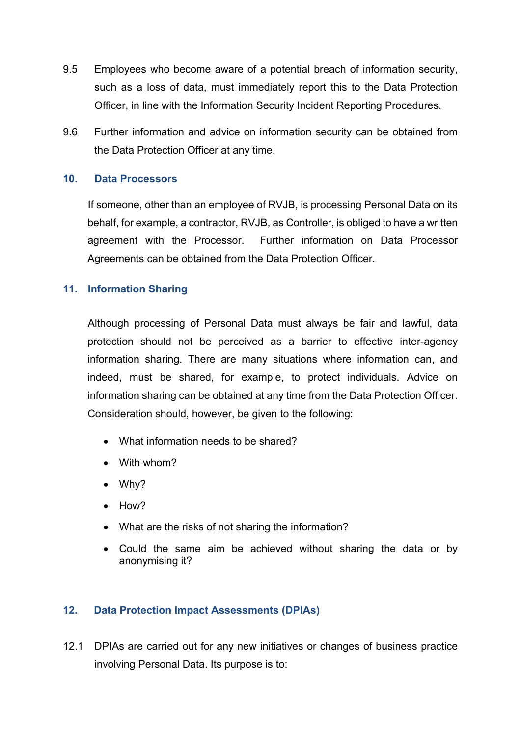- 9.5 Employees who become aware of a potential breach of information security, such as a loss of data, must immediately report this to the Data Protection Officer, in line with the Information Security Incident Reporting Procedures.
- 9.6 Further information and advice on information security can be obtained from the Data Protection Officer at any time.

## **10. Data Processors**

If someone, other than an employee of RVJB, is processing Personal Data on its behalf, for example, a contractor, RVJB, as Controller, is obliged to have a written agreement with the Processor. Further information on Data Processor Agreements can be obtained from the Data Protection Officer.

## **11. Information Sharing**

Although processing of Personal Data must always be fair and lawful, data protection should not be perceived as a barrier to effective inter-agency information sharing. There are many situations where information can, and indeed, must be shared, for example, to protect individuals. Advice on information sharing can be obtained at any time from the Data Protection Officer. Consideration should, however, be given to the following:

- What information needs to be shared?
- With whom?
- Why?
- How?
- What are the risks of not sharing the information?
- Could the same aim be achieved without sharing the data or by anonymising it?

### **12. Data Protection Impact Assessments (DPIAs)**

12.1 DPIAs are carried out for any new initiatives or changes of business practice involving Personal Data. Its purpose is to: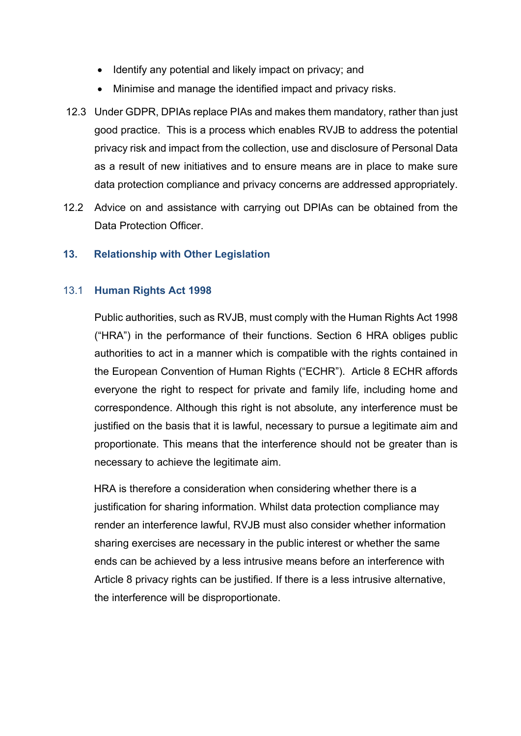- Identify any potential and likely impact on privacy; and
- Minimise and manage the identified impact and privacy risks.
- 12.3 Under GDPR, DPIAs replace PIAs and makes them mandatory, rather than just good practice. This is a process which enables RVJB to address the potential privacy risk and impact from the collection, use and disclosure of Personal Data as a result of new initiatives and to ensure means are in place to make sure data protection compliance and privacy concerns are addressed appropriately.
- 12.2 Advice on and assistance with carrying out DPIAs can be obtained from the Data Protection Officer.

### **13. Relationship with Other Legislation**

### 13.1 **Human Rights Act 1998**

Public authorities, such as RVJB, must comply with the Human Rights Act 1998 ("HRA") in the performance of their functions. Section 6 HRA obliges public authorities to act in a manner which is compatible with the rights contained in the European Convention of Human Rights ("ECHR"). Article 8 ECHR affords everyone the right to respect for private and family life, including home and correspondence. Although this right is not absolute, any interference must be justified on the basis that it is lawful, necessary to pursue a legitimate aim and proportionate. This means that the interference should not be greater than is necessary to achieve the legitimate aim.

HRA is therefore a consideration when considering whether there is a justification for sharing information. Whilst data protection compliance may render an interference lawful, RVJB must also consider whether information sharing exercises are necessary in the public interest or whether the same ends can be achieved by a less intrusive means before an interference with Article 8 privacy rights can be justified. If there is a less intrusive alternative, the interference will be disproportionate.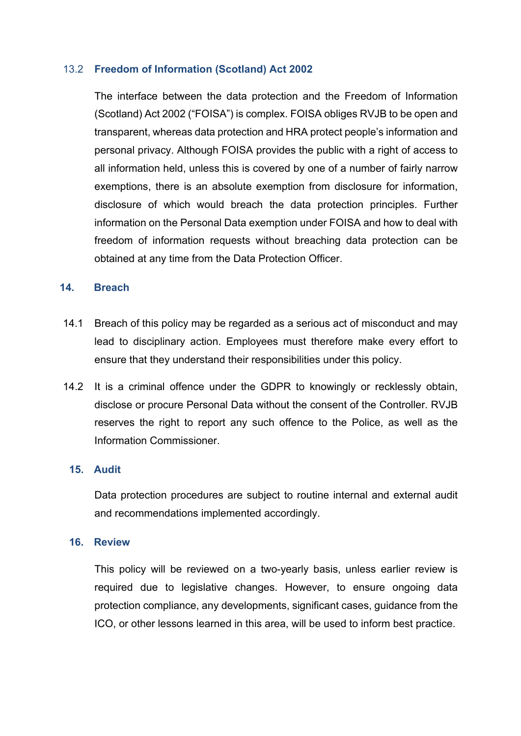## 13.2 **Freedom of Information (Scotland) Act 2002**

 The interface between the data protection and the Freedom of Information (Scotland) Act 2002 ("FOISA") is complex. FOISA obliges RVJB to be open and transparent, whereas data protection and HRA protect people's information and personal privacy. Although FOISA provides the public with a right of access to all information held, unless this is covered by one of a number of fairly narrow exemptions, there is an absolute exemption from disclosure for information, disclosure of which would breach the data protection principles. Further information on the Personal Data exemption under FOISA and how to deal with freedom of information requests without breaching data protection can be obtained at any time from the Data Protection Officer.

### **14. Breach**

- 14.1 Breach of this policy may be regarded as a serious act of misconduct and may lead to disciplinary action. Employees must therefore make every effort to ensure that they understand their responsibilities under this policy.
- 14.2 It is a criminal offence under the GDPR to knowingly or recklessly obtain, disclose or procure Personal Data without the consent of the Controller. RVJB reserves the right to report any such offence to the Police, as well as the Information Commissioner.

### **15. Audit**

Data protection procedures are subject to routine internal and external audit and recommendations implemented accordingly.

#### **16. Review**

 This policy will be reviewed on a two-yearly basis, unless earlier review is required due to legislative changes. However, to ensure ongoing data protection compliance, any developments, significant cases, guidance from the ICO, or other lessons learned in this area, will be used to inform best practice.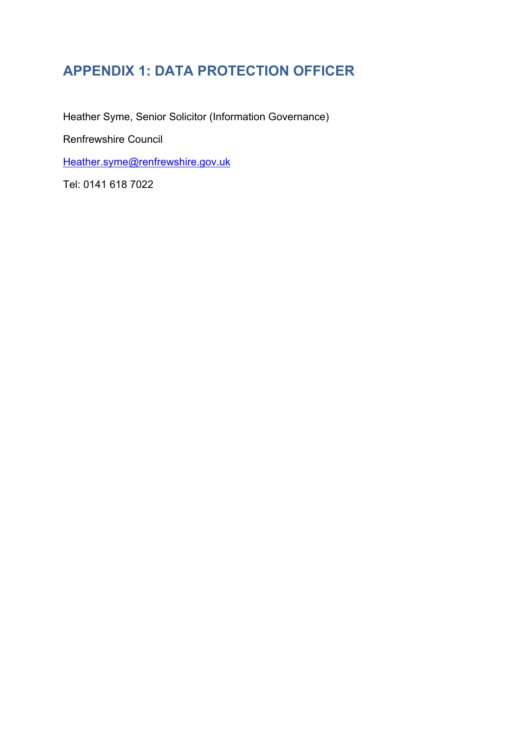# **APPENDIX 1: DATA PROTECTION OFFICER**

Heather Syme, Senior Solicitor (Information Governance)

Renfrewshire Council

Heather.syme@renfrewshire.gov.uk

Tel: 0141 618 7022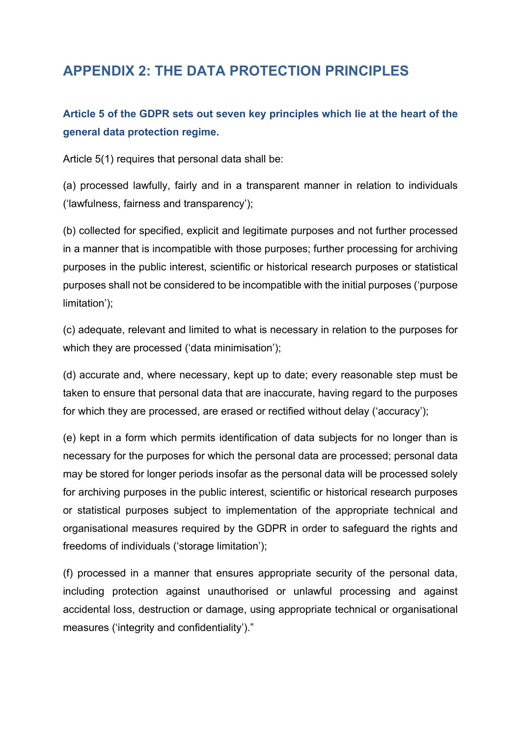## **APPENDIX 2: THE DATA PROTECTION PRINCIPLES**

## **Article 5 of the GDPR sets out seven key principles which lie at the heart of the general data protection regime.**

Article 5(1) requires that personal data shall be:

(a) processed lawfully, fairly and in a transparent manner in relation to individuals ('lawfulness, fairness and transparency');

(b) collected for specified, explicit and legitimate purposes and not further processed in a manner that is incompatible with those purposes; further processing for archiving purposes in the public interest, scientific or historical research purposes or statistical purposes shall not be considered to be incompatible with the initial purposes ('purpose limitation');

(c) adequate, relevant and limited to what is necessary in relation to the purposes for which they are processed ('data minimisation');

(d) accurate and, where necessary, kept up to date; every reasonable step must be taken to ensure that personal data that are inaccurate, having regard to the purposes for which they are processed, are erased or rectified without delay ('accuracy');

(e) kept in a form which permits identification of data subjects for no longer than is necessary for the purposes for which the personal data are processed; personal data may be stored for longer periods insofar as the personal data will be processed solely for archiving purposes in the public interest, scientific or historical research purposes or statistical purposes subject to implementation of the appropriate technical and organisational measures required by the GDPR in order to safeguard the rights and freedoms of individuals ('storage limitation');

(f) processed in a manner that ensures appropriate security of the personal data, including protection against unauthorised or unlawful processing and against accidental loss, destruction or damage, using appropriate technical or organisational measures ('integrity and confidentiality')."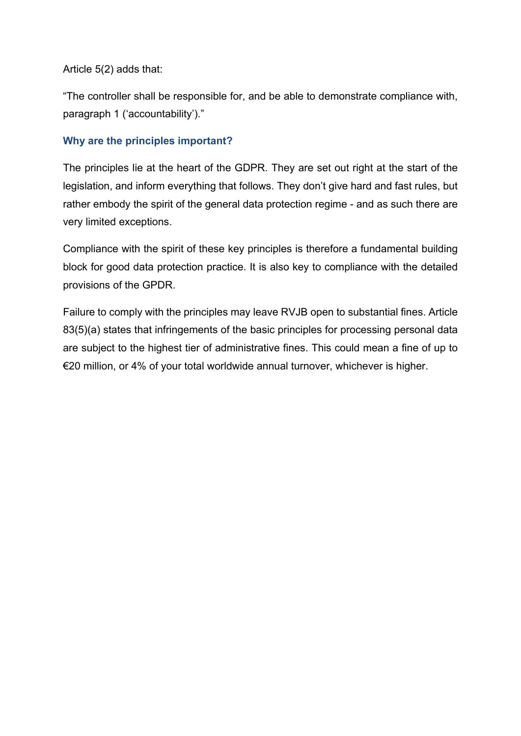Article 5(2) adds that:

"The controller shall be responsible for, and be able to demonstrate compliance with, paragraph 1 ('accountability')."

## **Why are the principles important?**

The principles lie at the heart of the GDPR. They are set out right at the start of the legislation, and inform everything that follows. They don't give hard and fast rules, but rather embody the spirit of the general data protection regime - and as such there are very limited exceptions.

Compliance with the spirit of these key principles is therefore a fundamental building block for good data protection practice. It is also key to compliance with the detailed provisions of the GPDR.

Failure to comply with the principles may leave RVJB open to substantial fines. Article 83(5)(a) states that infringements of the basic principles for processing personal data are subject to the highest tier of administrative fines. This could mean a fine of up to €20 million, or 4% of your total worldwide annual turnover, whichever is higher.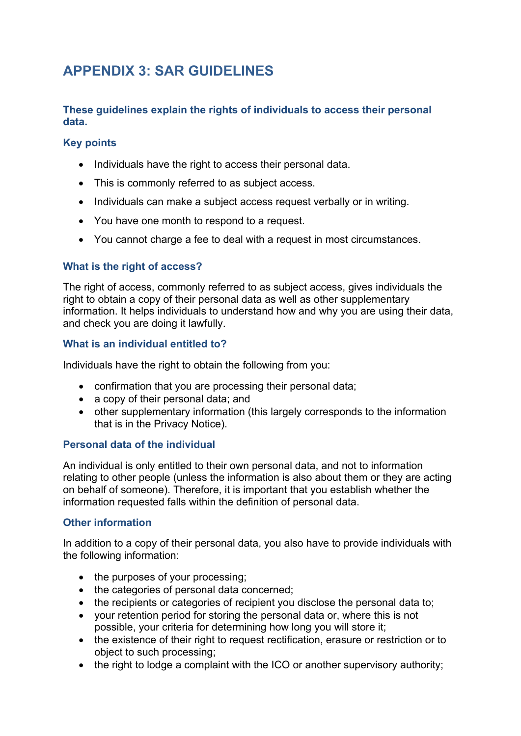# **APPENDIX 3: SAR GUIDELINES**

## **These guidelines explain the rights of individuals to access their personal data.**

## **Key points**

- Individuals have the right to access their personal data.
- This is commonly referred to as subject access.
- Individuals can make a subject access request verbally or in writing.
- You have one month to respond to a request.
- You cannot charge a fee to deal with a request in most circumstances.

## **What is the right of access?**

The right of access, commonly referred to as subject access, gives individuals the right to obtain a copy of their personal data as well as other supplementary information. It helps individuals to understand how and why you are using their data, and check you are doing it lawfully.

## **What is an individual entitled to?**

Individuals have the right to obtain the following from you:

- confirmation that you are processing their personal data;
- a copy of their personal data; and
- other supplementary information (this largely corresponds to the information that is in the Privacy Notice).

## **Personal data of the individual**

An individual is only entitled to their own personal data, and not to information relating to other people (unless the information is also about them or they are acting on behalf of someone). Therefore, it is important that you establish whether the information requested falls within the definition of personal data.

### **Other information**

In addition to a copy of their personal data, you also have to provide individuals with the following information:

- the purposes of your processing;
- the categories of personal data concerned:
- the recipients or categories of recipient you disclose the personal data to;
- your retention period for storing the personal data or, where this is not possible, your criteria for determining how long you will store it;
- the existence of their right to request rectification, erasure or restriction or to object to such processing;
- the right to lodge a complaint with the ICO or another supervisory authority;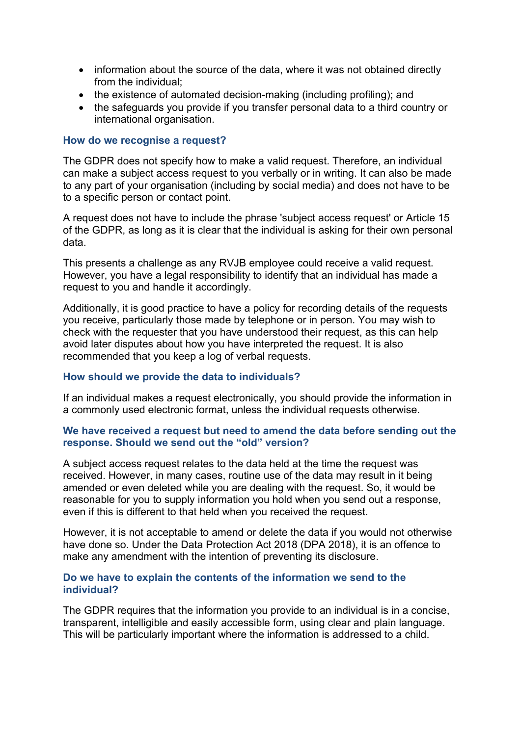- information about the source of the data, where it was not obtained directly from the individual;
- the existence of automated decision-making (including profiling); and
- the safeguards you provide if you transfer personal data to a third country or international organisation.

#### **How do we recognise a request?**

The GDPR does not specify how to make a valid request. Therefore, an individual can make a subject access request to you verbally or in writing. It can also be made to any part of your organisation (including by social media) and does not have to be to a specific person or contact point.

A request does not have to include the phrase 'subject access request' or Article 15 of the GDPR, as long as it is clear that the individual is asking for their own personal data.

This presents a challenge as any RVJB employee could receive a valid request. However, you have a legal responsibility to identify that an individual has made a request to you and handle it accordingly.

Additionally, it is good practice to have a policy for recording details of the requests you receive, particularly those made by telephone or in person. You may wish to check with the requester that you have understood their request, as this can help avoid later disputes about how you have interpreted the request. It is also recommended that you keep a log of verbal requests.

#### **How should we provide the data to individuals?**

If an individual makes a request electronically, you should provide the information in a commonly used electronic format, unless the individual requests otherwise.

### **We have received a request but need to amend the data before sending out the response. Should we send out the "old" version?**

A subject access request relates to the data held at the time the request was received. However, in many cases, routine use of the data may result in it being amended or even deleted while you are dealing with the request. So, it would be reasonable for you to supply information you hold when you send out a response, even if this is different to that held when you received the request.

However, it is not acceptable to amend or delete the data if you would not otherwise have done so. Under the Data Protection Act 2018 (DPA 2018), it is an offence to make any amendment with the intention of preventing its disclosure.

#### **Do we have to explain the contents of the information we send to the individual?**

The GDPR requires that the information you provide to an individual is in a concise, transparent, intelligible and easily accessible form, using clear and plain language. This will be particularly important where the information is addressed to a child.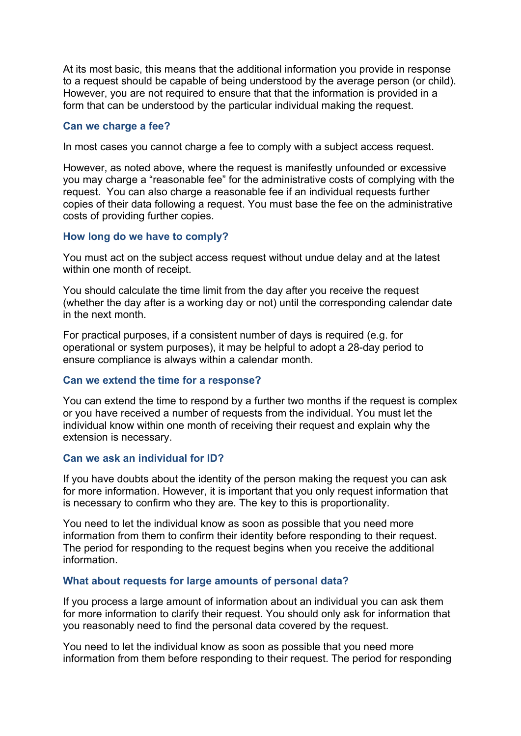At its most basic, this means that the additional information you provide in response to a request should be capable of being understood by the average person (or child). However, you are not required to ensure that that the information is provided in a form that can be understood by the particular individual making the request.

#### **Can we charge a fee?**

In most cases you cannot charge a fee to comply with a subject access request.

However, as noted above, where the request is manifestly unfounded or excessive you may charge a "reasonable fee" for the administrative costs of complying with the request. You can also charge a reasonable fee if an individual requests further copies of their data following a request. You must base the fee on the administrative costs of providing further copies.

#### **How long do we have to comply?**

You must act on the subject access request without undue delay and at the latest within one month of receipt.

You should calculate the time limit from the day after you receive the request (whether the day after is a working day or not) until the corresponding calendar date in the next month.

For practical purposes, if a consistent number of days is required (e.g. for operational or system purposes), it may be helpful to adopt a 28-day period to ensure compliance is always within a calendar month.

#### **Can we extend the time for a response?**

You can extend the time to respond by a further two months if the request is complex or you have received a number of requests from the individual. You must let the individual know within one month of receiving their request and explain why the extension is necessary.

#### **Can we ask an individual for ID?**

If you have doubts about the identity of the person making the request you can ask for more information. However, it is important that you only request information that is necessary to confirm who they are. The key to this is proportionality.

You need to let the individual know as soon as possible that you need more information from them to confirm their identity before responding to their request. The period for responding to the request begins when you receive the additional information.

#### **What about requests for large amounts of personal data?**

If you process a large amount of information about an individual you can ask them for more information to clarify their request. You should only ask for information that you reasonably need to find the personal data covered by the request.

You need to let the individual know as soon as possible that you need more information from them before responding to their request. The period for responding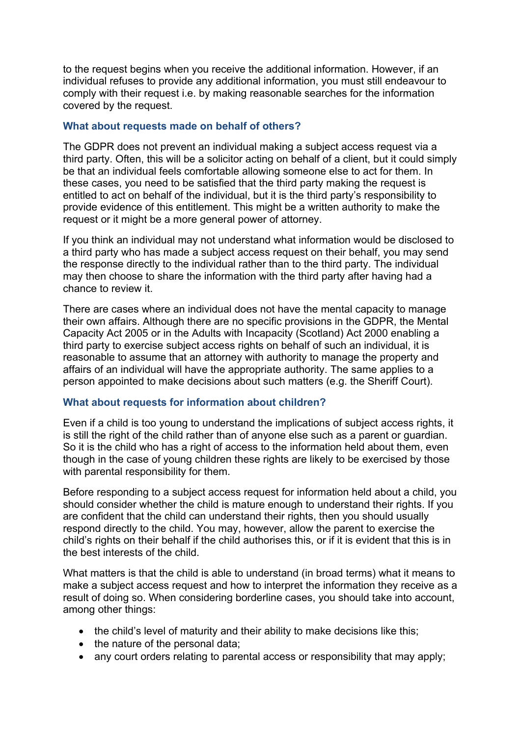to the request begins when you receive the additional information. However, if an individual refuses to provide any additional information, you must still endeavour to comply with their request i.e. by making reasonable searches for the information covered by the request.

### **What about requests made on behalf of others?**

The GDPR does not prevent an individual making a subject access request via a third party. Often, this will be a solicitor acting on behalf of a client, but it could simply be that an individual feels comfortable allowing someone else to act for them. In these cases, you need to be satisfied that the third party making the request is entitled to act on behalf of the individual, but it is the third party's responsibility to provide evidence of this entitlement. This might be a written authority to make the request or it might be a more general power of attorney.

If you think an individual may not understand what information would be disclosed to a third party who has made a subject access request on their behalf, you may send the response directly to the individual rather than to the third party. The individual may then choose to share the information with the third party after having had a chance to review it.

There are cases where an individual does not have the mental capacity to manage their own affairs. Although there are no specific provisions in the GDPR, the Mental Capacity Act 2005 or in the Adults with Incapacity (Scotland) Act 2000 enabling a third party to exercise subject access rights on behalf of such an individual, it is reasonable to assume that an attorney with authority to manage the property and affairs of an individual will have the appropriate authority. The same applies to a person appointed to make decisions about such matters (e.g. the Sheriff Court).

#### **What about requests for information about children?**

Even if a child is too young to understand the implications of subject access rights, it is still the right of the child rather than of anyone else such as a parent or guardian. So it is the child who has a right of access to the information held about them, even though in the case of young children these rights are likely to be exercised by those with parental responsibility for them.

Before responding to a subject access request for information held about a child, you should consider whether the child is mature enough to understand their rights. If you are confident that the child can understand their rights, then you should usually respond directly to the child. You may, however, allow the parent to exercise the child's rights on their behalf if the child authorises this, or if it is evident that this is in the best interests of the child.

What matters is that the child is able to understand (in broad terms) what it means to make a subject access request and how to interpret the information they receive as a result of doing so. When considering borderline cases, you should take into account, among other things:

- the child's level of maturity and their ability to make decisions like this;
- $\bullet$  the nature of the personal data;
- any court orders relating to parental access or responsibility that may apply: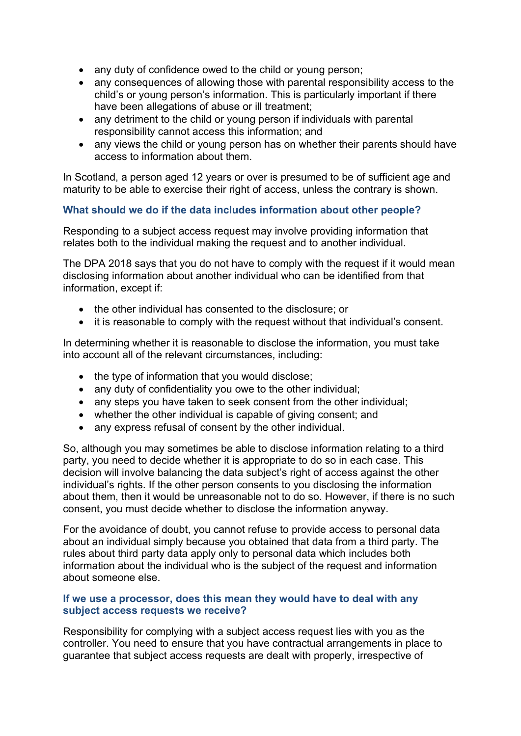- any duty of confidence owed to the child or young person;
- any consequences of allowing those with parental responsibility access to the child's or young person's information. This is particularly important if there have been allegations of abuse or ill treatment;
- any detriment to the child or young person if individuals with parental responsibility cannot access this information; and
- any views the child or young person has on whether their parents should have access to information about them.

In Scotland, a person aged 12 years or over is presumed to be of sufficient age and maturity to be able to exercise their right of access, unless the contrary is shown.

## **What should we do if the data includes information about other people?**

Responding to a subject access request may involve providing information that relates both to the individual making the request and to another individual.

The DPA 2018 says that you do not have to comply with the request if it would mean disclosing information about another individual who can be identified from that information, except if:

- the other individual has consented to the disclosure; or
- it is reasonable to comply with the request without that individual's consent.

In determining whether it is reasonable to disclose the information, you must take into account all of the relevant circumstances, including:

- $\bullet$  the type of information that you would disclose;
- any duty of confidentiality you owe to the other individual;
- any steps you have taken to seek consent from the other individual;
- whether the other individual is capable of giving consent; and
- any express refusal of consent by the other individual.

So, although you may sometimes be able to disclose information relating to a third party, you need to decide whether it is appropriate to do so in each case. This decision will involve balancing the data subject's right of access against the other individual's rights. If the other person consents to you disclosing the information about them, then it would be unreasonable not to do so. However, if there is no such consent, you must decide whether to disclose the information anyway.

For the avoidance of doubt, you cannot refuse to provide access to personal data about an individual simply because you obtained that data from a third party. The rules about third party data apply only to personal data which includes both information about the individual who is the subject of the request and information about someone else.

### **If we use a processor, does this mean they would have to deal with any subject access requests we receive?**

Responsibility for complying with a subject access request lies with you as the controller. You need to ensure that you have contractual arrangements in place to guarantee that subject access requests are dealt with properly, irrespective of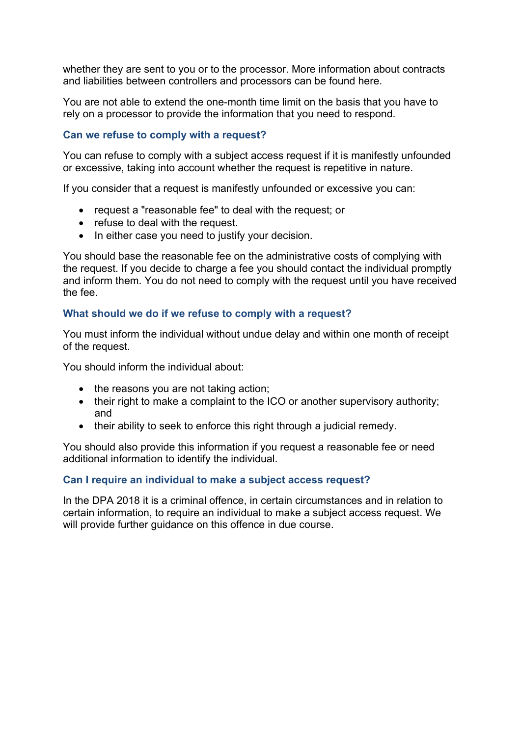whether they are sent to you or to the processor. More information about contracts and liabilities between controllers and processors can be found here.

You are not able to extend the one-month time limit on the basis that you have to rely on a processor to provide the information that you need to respond.

## **Can we refuse to comply with a request?**

You can refuse to comply with a subject access request if it is manifestly unfounded or excessive, taking into account whether the request is repetitive in nature.

If you consider that a request is manifestly unfounded or excessive you can:

- request a "reasonable fee" to deal with the request; or
- refuse to deal with the request.
- In either case you need to justify your decision.

You should base the reasonable fee on the administrative costs of complying with the request. If you decide to charge a fee you should contact the individual promptly and inform them. You do not need to comply with the request until you have received the fee.

## **What should we do if we refuse to comply with a request?**

You must inform the individual without undue delay and within one month of receipt of the request.

You should inform the individual about:

- the reasons you are not taking action;
- their right to make a complaint to the ICO or another supervisory authority; and
- their ability to seek to enforce this right through a judicial remedy.

You should also provide this information if you request a reasonable fee or need additional information to identify the individual.

### **Can I require an individual to make a subject access request?**

In the DPA 2018 it is a criminal offence, in certain circumstances and in relation to certain information, to require an individual to make a subject access request. We will provide further quidance on this offence in due course.